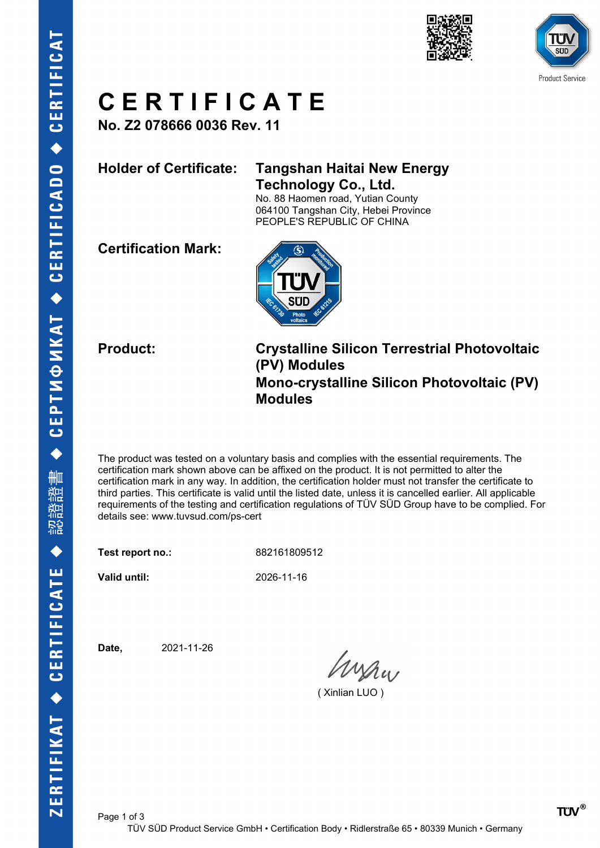





### **C E R T I F I C A T E**

**No. Z2 078666 0036 Rev. 11**

### **Holder of Certificate: Tangshan Haitai New Energy Technology Co., Ltd.**

No. 88 Haomen road, Yutian County 064100 Tangshan City, Hebei Province PEOPLE'S REPUBLIC OF CHINA

**Certification Mark:**



**Product: Crystalline Silicon Terrestrial Photovoltaic (PV) Modules Mono-crystalline Silicon Photovoltaic (PV) Modules**

The product was tested on a voluntary basis and complies with the essential requirements. The certification mark shown above can be affixed on the product. It is not permitted to alter the certification mark in any way. In addition, the certification holder must not transfer the certificate to third parties. This certificate is valid until the listed date, unless it is cancelled earlier. All applicable requirements of the testing and certification regulations of TÜV SÜD Group have to be complied. For details see: www.tuvsud.com/ps-cert

**Test report no.:** 882161809512

**Valid until:** 2026-11-16

**Date,** 2021-11-26

Wishw

( Xinlian LUO )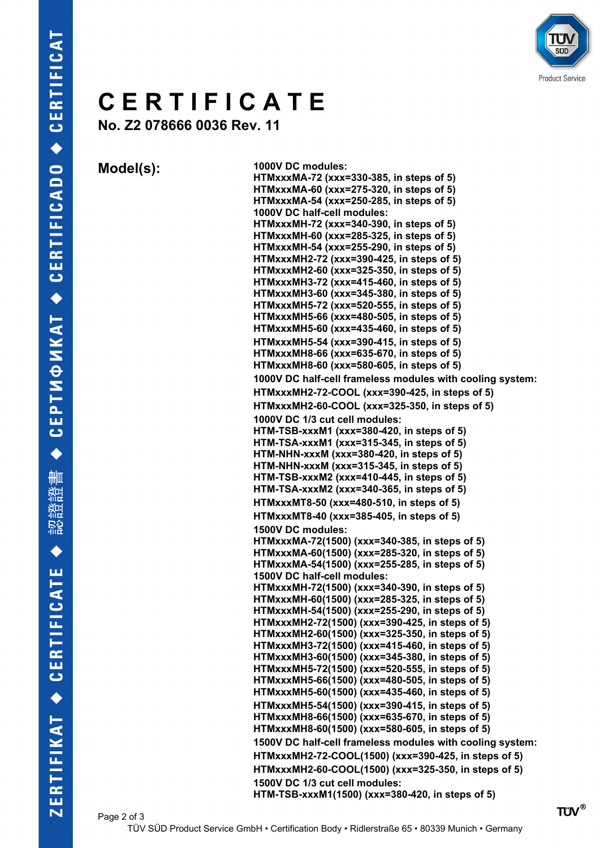

## **C E R T I F I C A T E**

**No. Z2 078666 0036 Rev. 11**

**Model(s): 1000V DC modules: HTMxxxMA-72 (xxx=330-385, in steps of 5) HTMxxxMA-60 (xxx=275-320, in steps of 5) HTMxxxMA-54 (xxx=250-285, in steps of 5) 1000V DC half-cell modules: HTMxxxMH-72 (xxx=340-390, in steps of 5) HTMxxxMH-60 (xxx=285-325, in steps of 5) HTMxxxMH-54 (xxx=255-290, in steps of 5) HTMxxxMH2-72 (xxx=390-425, in steps of 5) HTMxxxMH2-60 (xxx=325-350, in steps of 5) HTMxxxMH3-72 (xxx=415-460, in steps of 5) HTMxxxMH3-60 (xxx=345-380, in steps of 5) HTMxxxMH5-72 (xxx=520-555, in steps of 5) HTMxxxMH5-66 (xxx=480-505, in steps of 5) HTMxxxMH5-60 (xxx=435-460, in steps of 5) HTMxxxMH5-54 (xxx=390-415, in steps of 5) HTMxxxMH8-66 (xxx=635-670, in steps of 5) HTMxxxMH8-60 (xxx=580-605, in steps of 5) 1000V DC half-cell frameless modules with cooling system: HTMxxxMH2-72-COOL (xxx=390-425, in steps of 5) HTMxxxMH2-60-COOL (xxx=325-350, in steps of 5) 1000V DC 1/3 cut cell modules: HTM-TSB-xxxM1 (xxx=380-420, in steps of 5) HTM-TSA-xxxM1 (xxx=315-345, in steps of 5) HTM-NHN-xxxM (xxx=380-420, in steps of 5) HTM-NHN-xxxM (xxx=315-345, in steps of 5) HTM-TSB-xxxM2 (xxx=410-445, in steps of 5) HTM-TSA-xxxM2 (xxx=340-365, in steps of 5) HTMxxxMT8-50 (xxx=480-510, in steps of 5) HTMxxxMT8-40 (xxx=385-405, in steps of 5) 1500V DC modules: HTMxxxMA-72(1500) (xxx=340-385, in steps of 5) HTMxxxMA-60(1500) (xxx=285-320, in steps of 5) HTMxxxMA-54(1500) (xxx=255-285, in steps of 5) 1500V DC half-cell modules: HTMxxxMH-72(1500) (xxx=340-390, in steps of 5) HTMxxxMH-60(1500) (xxx=285-325, in steps of 5) HTMxxxMH-54(1500) (xxx=255-290, in steps of 5) HTMxxxMH2-72(1500) (xxx=390-425, in steps of 5) HTMxxxMH2-60(1500) (xxx=325-350, in steps of 5) HTMxxxMH3-72(1500) (xxx=415-460, in steps of 5) HTMxxxMH3-60(1500) (xxx=345-380, in steps of 5) HTMxxxMH5-72(1500) (xxx=520-555, in steps of 5) HTMxxxMH5-66(1500) (xxx=480-505, in steps of 5) HTMxxxMH5-60(1500) (xxx=435-460, in steps of 5) HTMxxxMH5-54(1500) (xxx=390-415, in steps of 5) HTMxxxMH8-66(1500) (xxx=635-670, in steps of 5) HTMxxxMH8-60(1500) (xxx=580-605, in steps of 5) 1500V DC half-cell frameless modules with cooling system: HTMxxxMH2-72-COOL(1500) (xxx=390-425, in steps of 5) HTMxxxMH2-60-COOL(1500) (xxx=325-350, in steps of 5) 1500V DC 1/3 cut cell modules: HTM-TSB-xxxM1(1500) (xxx=380-420, in steps of 5)**